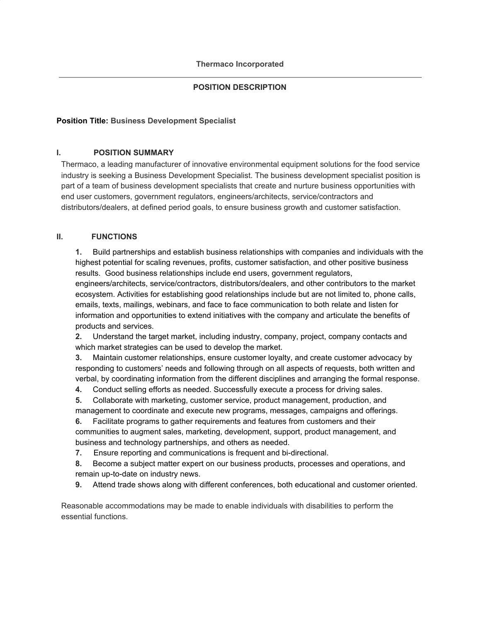# **POSITION DESCRIPTION**

## **Position Title: Business Development Specialist**

## **I. POSITION SUMMARY**

Thermaco, a leading manufacturer of innovative environmental equipment solutions for the food service industry is seeking a Business Development Specialist. The business development specialist position is part of a team of business development specialists that create and nurture business opportunities with end user customers, government regulators, engineers/architects, service/contractors and distributors/dealers, at defined period goals, to ensure business growth and customer satisfaction.

## **II. FUNCTIONS**

**1.** Build partnerships and establish business relationships with companies and individuals with the highest potential for scaling revenues, profits, customer satisfaction, and other positive business results. Good business relationships include end users, government regulators,

engineers/architects, service/contractors, distributors/dealers, and other contributors to the market ecosystem. Activities for establishing good relationships include but are not limited to, phone calls, emails, texts, mailings, webinars, and face to face communication to both relate and listen for information and opportunities to extend initiatives with the company and articulate the benefits of products and services.

**2.** Understand the target market, including industry, company, project, company contacts and which market strategies can be used to develop the market.

**3.** Maintain customer relationships, ensure customer loyalty, and create customer advocacy by responding to customers' needs and following through on all aspects of requests, both written and verbal, by coordinating information from the different disciplines and arranging the formal response.

**4.** Conduct selling efforts as needed. Successfully execute a process for driving sales.

**5.** Collaborate with marketing, customer service, product management, production, and management to coordinate and execute new programs, messages, campaigns and offerings.

**6.** Facilitate programs to gather requirements and features from customers and their communities to augment sales, marketing, development, support, product management, and business and technology partnerships, and others as needed.

**7.** Ensure reporting and communications is frequent and bi-directional.

**8.** Become a subject matter expert on our business products, processes and operations, and remain up-to-date on industry news.

**9.** Attend trade shows along with different conferences, both educational and customer oriented.

Reasonable accommodations may be made to enable individuals with disabilities to perform the essential functions.